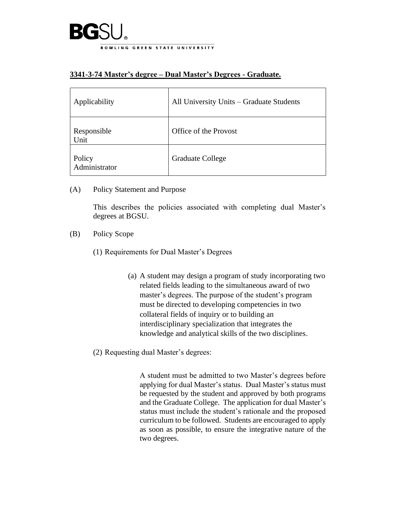

## **3341-3-74 Master's degree – Dual Master's Degrees - Graduate.**

| Applicability           | All University Units - Graduate Students |
|-------------------------|------------------------------------------|
| Responsible<br>Unit     | Office of the Provost                    |
| Policy<br>Administrator | Graduate College                         |

(A) Policy Statement and Purpose

This describes the policies associated with completing dual Master's degrees at BGSU.

- (B) Policy Scope
	- (1) Requirements for Dual Master's Degrees
		- (a) A student may design a program of study incorporating two related fields leading to the simultaneous award of two master's degrees. The purpose of the student's program must be directed to developing competencies in two collateral fields of inquiry or to building an interdisciplinary specialization that integrates the knowledge and analytical skills of the two disciplines.
	- (2) Requesting dual Master's degrees:

A student must be admitted to two Master's degrees before applying for dual Master's status. Dual Master's status must be requested by the student and approved by both programs and the Graduate College. The application for dual Master's status must include the student's rationale and the proposed curriculum to be followed. Students are encouraged to apply as soon as possible, to ensure the integrative nature of the two degrees.